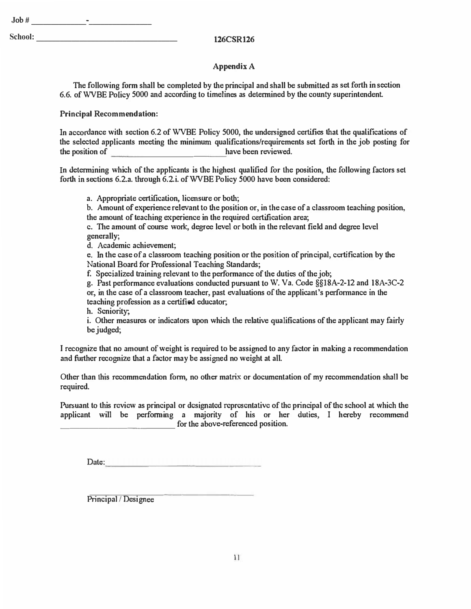## **Appendix A**

**The following form shall be completed by the principal and shall be submitted as set forth in section 6.6. ofWVBE Policy 5000 and according to time1ines as determined by the county superintendent** 

## **Principal Recommendation:**

**In accordance with section 6.2 of WVBE Policy 5000, the undersigned certifies that the qualifications of the selected applicants meeting the minimum qualifications/requirements set forth in the job posting for the position of have been reviewed.** 

**In determining which of the applicants is the highest qualified for the position, the following factors set**  forth in sections 6.2.a. through 6.2.i. of WVBE Policy 5000 have been considered:

**a. Appropriate certification, licensure or both;**

**b. Amount of experience relevant to the position or, in the case of a classroom teaching position, the amount of teaching experience in the required certification area;**

**c. The amount of course work, degree level or both in the relevant field and degree level generally;**

**d. Academic achievement;**

**e. In the case of a classroom teaching position or the position of principal, certification by the National Board for Professional Teaching Standards;**

**f. Specialized training relevant to the performance of the duties of the job;**

**g. Past performance evaluations conducted pursuant to W. Va. Code §§lSA-2-12 and 18A-3C-2 or, in the case of a classroom teacher, past evaluations of the applicant's performance in the teaching profession as a certified educator;**

**h. Seniority;**

**i. Other measures or indicators upon which the relative qualifications of the applicant may fairly be judged;**

**I recognize that no amount of weight is required to be assigned to any factor in making a recommendation and further recognize that a factor may be assigned no weight at all.** 

**Other than this recommendation form, no other matrix or documentation of my recommendation shat] be required.** 

**Pursuant to this review as principal or designated representative of the principal of the school at which the applicant will be performing a majority of his or her duties, I hereby recommend**  for the above-referenced position.

Date:

**Principal** *I* **Designee** 

 $School:$